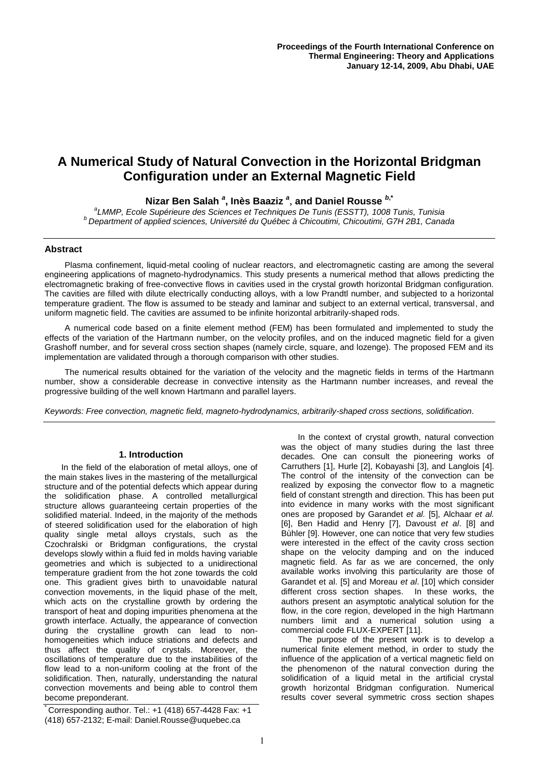# **A Numerical Study of Natural Convection in the Horizontal Bridgman Configuration under an External Magnetic Field**

# **Nizar Ben Salah** *<sup>a</sup>* **, Inès Baaziz** *<sup>a</sup>* , **and Daniel Rousse** *<sup>b</sup>***,\***

*a LMMP, Ecole Supérieure des Sciences et Techniques De Tunis (ESSTT), 1008 Tunis, Tunisia <sup>b</sup> Department of applied sciences, Université du Québec à Chicoutimi, Chicoutimi, G7H 2B1, Canada*

# **Abstract**

Plasma confinement, liquid-metal cooling of nuclear reactors, and electromagnetic casting are among the several engineering applications of magneto-hydrodynamics. This study presents a numerical method that allows predicting the electromagnetic braking of free-convective flows in cavities used in the crystal growth horizontal Bridgman configuration. The cavities are filled with dilute electrically conducting alloys, with a low Prandtl number, and subjected to a horizontal temperature gradient. The flow is assumed to be steady and laminar and subject to an external vertical, transversal, and uniform magnetic field. The cavities are assumed to be infinite horizontal arbitrarily-shaped rods.

A numerical code based on a finite element method (FEM) has been formulated and implemented to study the effects of the variation of the Hartmann number, on the velocity profiles, and on the induced magnetic field for a given Grashoff number, and for several cross section shapes (namely circle, square, and lozenge). The proposed FEM and its implementation are validated through a thorough comparison with other studies.

The numerical results obtained for the variation of the velocity and the magnetic fields in terms of the Hartmann number, show a considerable decrease in convective intensity as the Hartmann number increases, and reveal the progressive building of the well known Hartmann and parallel layers.

*Keywords: Free convection, magnetic field, magneto-hydrodynamics, arbitrarily-shaped cross sections, solidification.*

#### **1. Introduction**

In the field of the elaboration of metal alloys, one of the main stakes lives in the mastering of the metallurgical structure and of the potential defects which appear during the solidification phase. A controlled metallurgical structure allows guaranteeing certain properties of the solidified material. Indeed, in the majority of the methods of steered solidification used for the elaboration of high quality single metal alloys crystals, such as the Czochralski or Bridgman configurations, the crystal develops slowly within a fluid fed in molds having variable geometries and which is subjected to a unidirectional temperature gradient from the hot zone towards the cold one. This gradient gives birth to unavoidable natural convection movements, in the liquid phase of the melt, which acts on the crystalline growth by ordering the transport of heat and doping impurities phenomena at the growth interface. Actually, the appearance of convection during the crystalline growth can lead to nonhomogeneities which induce striations and defects and thus affect the quality of crystals. Moreover, the oscillations of temperature due to the instabilities of the flow lead to a non-uniform cooling at the front of the solidification. Then, naturally, understanding the natural convection movements and being able to control them become preponderant.

In the context of crystal growth, natural convection was the object of many studies during the last three decades. One can consult the pioneering works of Carruthers [1], Hurle [2], Kobayashi [3], and Langlois [4]. The control of the intensity of the convection can be realized by exposing the convector flow to a magnetic field of constant strength and direction. This has been put into evidence in many works with the most significant ones are proposed by Garandet *et al.* [5], Alchaar *et al.* [6], Ben Hadid and Henry [7], Davoust *et al*. [8] and Bùhler [9]. However, one can notice that very few studies were interested in the effect of the cavity cross section shape on the velocity damping and on the induced magnetic field. As far as we are concerned, the only available works involving this particularity are those of Garandet et al. [5] and Moreau *et al*. [10] which consider different cross section shapes. In these works, the authors present an asymptotic analytical solution for the flow, in the core region, developed in the high Hartmann numbers limit and a numerical solution using a commercial code FLUX-EXPERT [11].

The purpose of the present work is to develop a numerical finite element method, in order to study the influence of the application of a vertical magnetic field on the phenomenon of the natural convection during the solidification of a liquid metal in the artificial crystal growth horizontal Bridgman configuration. Numerical results cover several symmetric cross section shapes

<sup>\*</sup> Corresponding author. Tel.: +1 (418) 657-4428 Fax: +1 (418) 657-2132; E-mail: Daniel.Rousse@uquebec.ca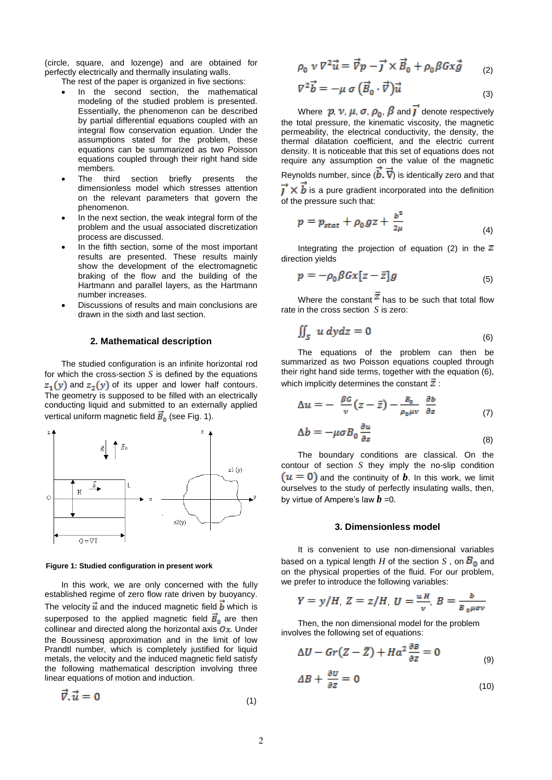(circle, square, and lozenge) and are obtained for perfectly electrically and thermally insulating walls. The rest of the paper is organized in five sections:

- In the second section, the mathematical modeling of the studied problem is presented. Essentially, the phenomenon can be described by partial differential equations coupled with an integral flow conservation equation. Under the assumptions stated for the problem, these equations can be summarized as two Poisson equations coupled through their right hand side members.
- The third section briefly presents the dimensionless model which stresses attention on the relevant parameters that govern the phenomenon.
- In the next section, the weak integral form of the problem and the usual associated discretization process are discussed.
- In the fifth section, some of the most important results are presented. These results mainly show the development of the electromagnetic braking of the flow and the building of the Hartmann and parallel layers, as the Hartmann number increases.
- Discussions of results and main conclusions are drawn in the sixth and last section.

## **2. Mathematical description**

The studied configuration is an infinite horizontal rod for which the cross-section *S* is defined by the equations  $z_1(y)$  and  $z_2(y)$  of its upper and lower half contours. The geometry is supposed to be filled with an electrically conducting liquid and submitted to an externally applied vertical uniform magnetic field  $\vec{B}_0$  (see Fig. 1).



#### **Figure 1: Studied configuration in present work**

In this work, we are only concerned with the fully established regime of zero flow rate driven by buoyancy. The velocity  $\vec{u}$  and the induced magnetic field  $\vec{b}$  which is superposed to the applied magnetic field  $\vec{B}_0$  are then collinear and directed along the horizontal axis  $Ox$ . Under the Boussinesq approximation and in the limit of low Prandtl number, which is completely justified for liquid metals, the velocity and the induced magnetic field satisfy the following mathematical description involving three linear equations of motion and induction.

$$
\vec{v}.\vec{u} = 0 \tag{1}
$$

$$
\rho_0 \, v \, \nabla^2 \vec{u} = \vec{\nabla} p - \vec{j} \times \vec{B}_0 + \rho_0 \beta G x \vec{g} \qquad (2)
$$

$$
\nabla^2 \vec{b} = -\mu \sigma \left( \vec{B}_0 \cdot \vec{v} \right) \vec{u}
$$
 (3)

Where  $p, \nu, \mu, \sigma, \rho_0, \beta$  and  $\overline{\jmath}$  denote respectively the total pressure, the kinematic viscosity, the magnetic permeability, the electrical conductivity, the density, the thermal dilatation coefficient, and the electric current density. It is noticeable that this set of equations does not require any assumption on the value of the magnetic Reynolds number, since  $(b, \overline{v})$  is identically zero and that  $\overrightarrow{l}$   $\times$   $\overrightarrow{b}$  is a pure gradient incorporated into the definition of the pressure such that:

$$
p = p_{stat} + \rho_0 g z + \frac{b^2}{2\mu} \tag{4}
$$

Integrating the projection of equation (2) in the  $z$ direction yields

$$
p = -\rho_0 \beta G x [z - \bar{z}] g \tag{5}
$$

Where the constant  $\frac{z}{z}$  has to be such that total flow rate in the cross section *S* is zero:

$$
\iint_{S} u \, dydz = 0 \tag{6}
$$

The equations of the problem can then be summarized as two Poisson equations coupled through their right hand side terms, together with the equation (6), which implicitly determines the constant  $\bar{z}$ :

$$
\Delta u = -\frac{\beta G}{v}(z - \bar{z}) - \frac{B_0}{\rho_0 \mu v} \frac{\partial b}{\partial z} \tag{7}
$$

$$
\Delta b = -\mu \sigma B_0 \frac{\partial u}{\partial z} \tag{8}
$$

The boundary conditions are classical. On the contour of section *S* they imply the no-slip condition  $(a = 0)$  and the continuity of *b*. In this work, we limit ourselves to the study of perfectly insulating walls, then, by virtue of Ampere's law  $\boldsymbol{b}$  =0.

#### **3. Dimensionless model**

It is convenient to use non-dimensional variables based on a typical length *H* of the section *S*, on  $B_0$  and on the physical properties of the fluid. For our problem, we prefer to introduce the following variables:

$$
Y = y/H, Z = z/H, U = \frac{uH}{v}, B = \frac{b}{B_0 \mu \sigma v}
$$

Then, the non dimensional model for the problem involves the following set of equations:

$$
\Delta U - Gr(Z - \bar{Z}) + Ha^2 \frac{\partial B}{\partial z} = 0 \tag{9}
$$

$$
\Delta B + \frac{\partial v}{\partial z} = 0 \tag{10}
$$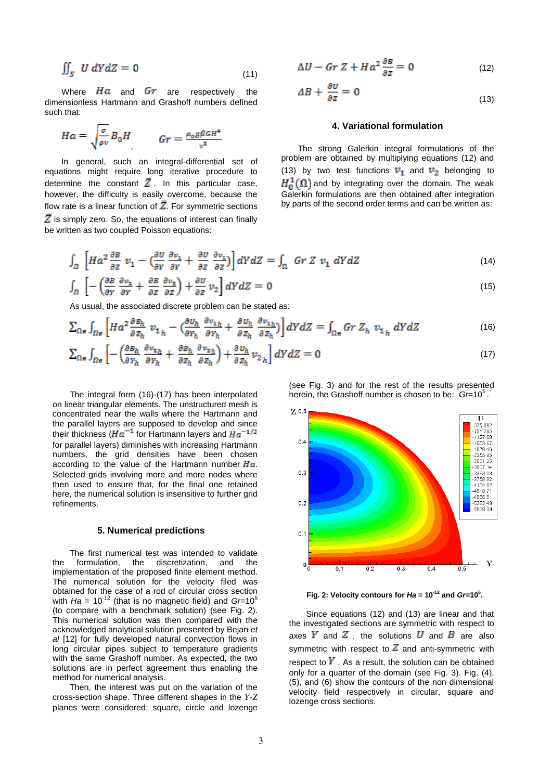$$
\iint_{S} U dY dZ = 0 \tag{11}
$$

Where  $Ha$  and  $Gr$  are respectively the dimensionless Hartmann and Grashoff numbers defined such that:

$$
Ha = \sqrt{\frac{\sigma}{\rho v}} B_0 H \qquad Gr = \frac{\rho_0 g \beta G H^4}{v^2}
$$

In general, such an integral-differential set of equations might require long iterative procedure to determine the constant  $\bar{Z}$ . In this particular case, however, the difficulty is easily overcome, because the flow rate is a linear function of  $\bar{Z}$ . For symmetric sections  $\bar{Z}$  is simply zero. So, the equations of interest can finally be written as two coupled Poisson equations:

$$
\Delta U - Gr Z + Ha^2 \frac{\partial B}{\partial z} = 0 \tag{12}
$$

$$
\Delta B + \frac{\partial U}{\partial z} = 0 \tag{13}
$$

# **4. Variational formulation**

The strong Galerkin integral formulations of the problem are obtained by multiplying equations (12) and (13) by two test functions  $v_1$  and  $v_2$  belonging to  $H_0^1(\Omega)$  and by integrating over the domain. The weak Galerkin formulations are then obtained after integration by parts of the second order terms and can be written as:

$$
\int_{\Omega} \left[ H a^2 \frac{\partial B}{\partial z} v_1 - \left( \frac{\partial U}{\partial y} \frac{\partial v_1}{\partial x} + \frac{\partial U}{\partial z} \frac{\partial v_1}{\partial z} \right) \right] dY dZ = \int_{\Omega} Gr Z v_1 dY dZ \tag{14}
$$

$$
\int_{\Omega} \left[ -\left( \frac{\partial B}{\partial Y} \frac{\partial v_2}{\partial Y} + \frac{\partial B}{\partial Z} \frac{\partial v_2}{\partial Z} \right) + \frac{\partial U}{\partial Z} v_2 \right] dY dZ = 0 \tag{15}
$$

As usual, the associated discrete problem can be stated as:

$$
\sum_{\Omega \in \mathcal{S}} \int_{\Omega \in \mathcal{S}} \left[ H a^2 \frac{\partial B_h}{\partial z_h} v_{1_h} - \left( \frac{\partial v_h}{\partial v_h} \frac{\partial v_{1_h}}{\partial v_h} + \frac{\partial v_h}{\partial z_h} \frac{\partial v_{1_h}}{\partial z_h} \right) \right] dY dZ = \int_{\Omega \in \mathcal{S}} Gr \; Z_h \; v_{1_h} \; dY dZ \tag{16}
$$

$$
\Sigma_{\Omega\epsilon} \int_{\Omega\epsilon} \left[ -\left( \frac{\partial B_h}{\partial Y_h} \frac{\partial v_{2h}}{\partial Y_h} + \frac{\partial B_h}{\partial Z_h} \frac{\partial v_{2h}}{\partial Z_h} \right) + \frac{\partial v_h}{\partial Z_h} v_{2h} \right] dY dZ = 0 \tag{17}
$$

The integral form (16)-(17) has been interpolated on linear triangular elements. The unstructured mesh is concentrated near the walls where the Hartmann and the parallel layers are supposed to develop and since their thickness ( $Ha^{-1}$  for Hartmann layers and  $Ha^{-1/2}$ for parallel layers) diminishes with increasing Hartmann numbers, the grid densities have been chosen according to the value of the Hartmann number  $Ha$ . Selected grids involving more and more nodes where then used to ensure that, for the final one retained here, the numerical solution is insensitive to further grid refinements.

#### **5. Numerical predictions**

The first numerical test was intended to validate the formulation, the discretization, and the implementation of the proposed finite element method. The numerical solution for the velocity filed was obtained for the case of a rod of circular cross section with  $Ha = 10^{-12}$  (that is no magnetic field) and  $Gr=10^6$ (to compare with a benchmark solution) (see Fig. 2). This numerical solution was then compared with the acknowledged analytical solution presented by Bejan *et al* [12] for fully developed natural convection flows in long circular pipes subject to temperature gradients with the same Grashoff number. As expected, the two solutions are in perfect agreement thus enabling the method for numerical analysis.

Then, the interest was put on the variation of the cross-section shape. Three different shapes in the *Y-Z* planes were considered: square, circle and lozenge

(see Fig. 3) and for the rest of the results presented herein, the Grashoff number is chosen to be: Gr=10<sup>5</sup>.



Fig. 2: Velocity contours for  $Ha = 10^{-12}$  and  $Gr=10^6$ .

Since equations (12) and (13) are linear and that the investigated sections are symmetric with respect to axes  $Y$  and  $Z$ , the solutions  $U$  and  $B$  are also symmetric with respect to  $Z$  and anti-symmetric with respect to  $Y$ . As a result, the solution can be obtained only for a quarter of the domain (see Fig. 3). Fig. (4), (5), and (6) show the contours of the non dimensional velocity field respectively in circular, square and lozenge cross sections.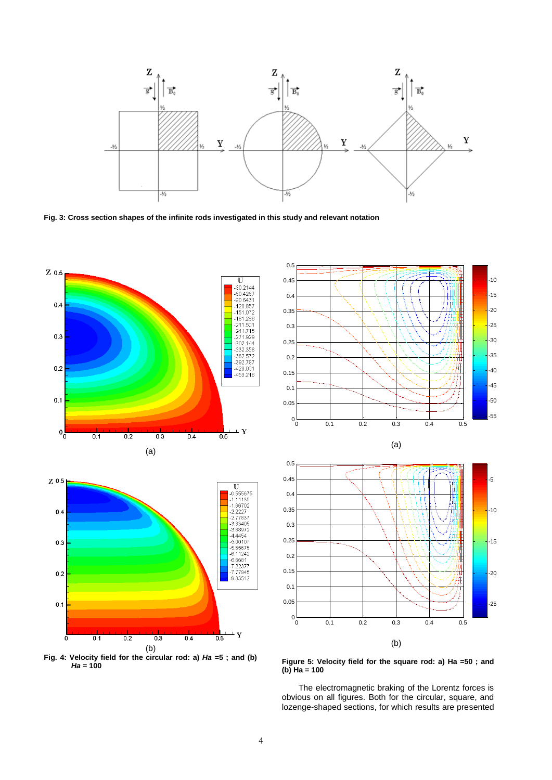

**Fig. 3: Cross section shapes of the infinite rods investigated in this study and relevant notation**







**Fig. 4: Velocity field for the circular rod: a)** *Ha* **=5 ; and (b)**  *Ha* **= 100**

**Figure 5: Velocity field for the square rod: a) Ha =50 ; and (b) Ha = 100**

(b)

0 0.1 0.2 0.3 0.4 0.5

The electromagnetic braking of the Lorentz forces is obvious on all figures. Both for the circular, square, and lozenge-shaped sections, for which results are presented

 $0<sub>0</sub>$